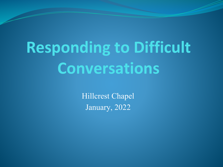# **Responding to Difficult Conversations**

Hillcrest Chapel January, 2022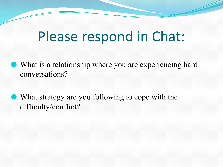# Please respond in Chat:

- ⚫ What is a relationship where you are experiencing hard conversations?
- ⚫ What strategy are you following to cope with the difficulty/conflict?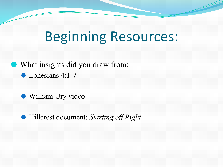# Beginning Resources:

⚫ What insights did you draw from: ● Ephesians 4:1-7

⚫ William Ury video

⚫ Hillcrest document: *Starting off Right*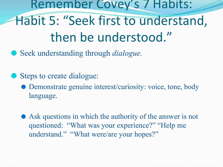Remember Covey's 7 Habits: Habit 5: "Seek first to understand, then be understood."

● Seek understanding through *dialogue*.

● Steps to create dialogue:

⚫ Demonstrate genuine interest/curiosity: voice, tone, body language.

⚫ Ask questions in which the authority of the answer is not questioned: "What was your experience?" "Help me understand." "What were/are your hopes?"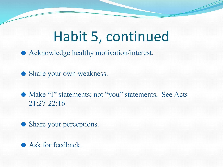# Habit 5, continued

⚫ Acknowledge healthy motivation/interest.

⚫ Share your own weakness.

● Make "I" statements; not "you" statements. See Acts 21:27-22:16

⚫ Share your perceptions.

⚫ Ask for feedback.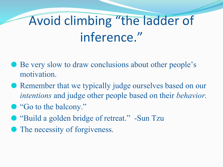# Avoid climbing "the ladder of inference."

- Be very slow to draw conclusions about other people's motivation.
- ⚫ Remember that we typically judge ourselves based on our *intentions* and judge other people based on their *behavior.*
- "Go to the balcony."
- "Build a golden bridge of retreat." -Sun Tzu
- The necessity of forgiveness.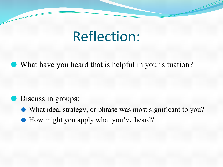## Reflection:

⚫ What have you heard that is helpful in your situation?

#### ⚫ Discuss in groups:

- ⚫ What idea, strategy, or phrase was most significant to you?
- ⚫ How might you apply what you've heard?